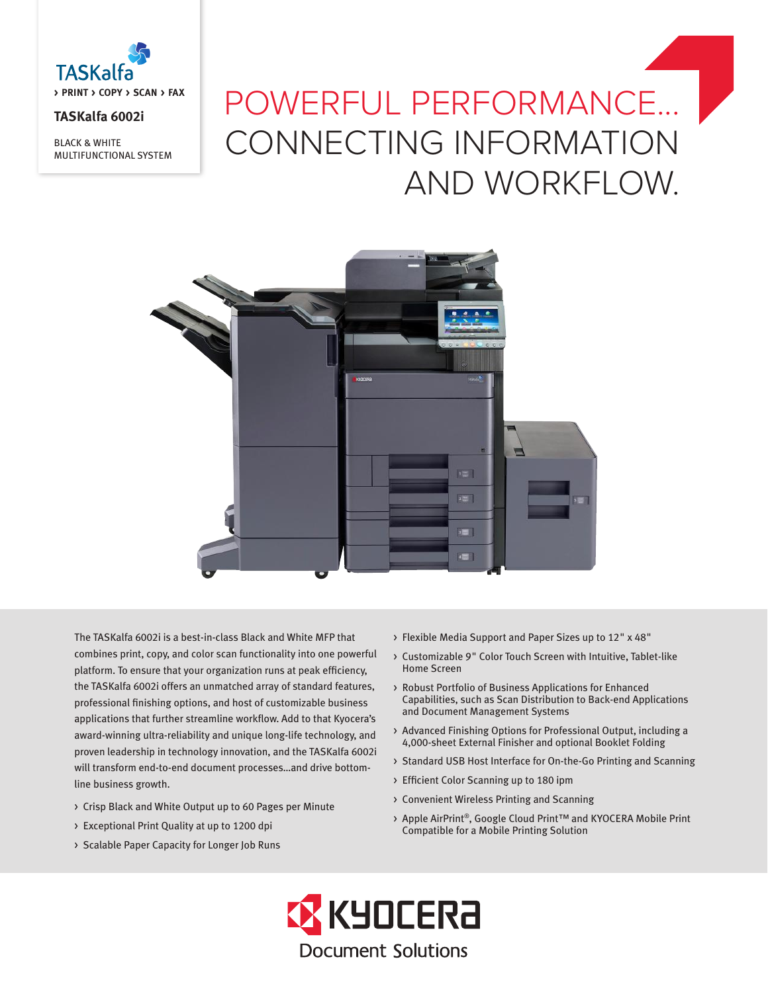

## **TASKalfa 6002i**

BLACK & WHITE MULTIFUNCTIONAL SYSTEM

# POWERFUL PERFORMANCE... CONNECTING INFORMATION AND WORKFLOW.



The TASKalfa 6002i is a best-in-class Black and White MFP that combines print, copy, and color scan functionality into one powerful platform. To ensure that your organization runs at peak efficiency, the TASKalfa 6002i offers an unmatched array of standard features, professional finishing options, and host of customizable business applications that further streamline workflow. Add to that Kyocera's award-winning ultra-reliability and unique long-life technology, and proven leadership in technology innovation, and the TASKalfa 6002i will transform end-to-end document processes…and drive bottomline business growth.

- > Crisp Black and White Output up to 60 Pages per Minute
- > Exceptional Print Quality at up to 1200 dpi
- > Scalable Paper Capacity for Longer Job Runs
- > Flexible Media Support and Paper Sizes up to 12" x 48"
- > Customizable 9" Color Touch Screen with Intuitive, Tablet-like Home Screen
- > Robust Portfolio of Business Applications for Enhanced Capabilities, such as Scan Distribution to Back-end Applications and Document Management Systems
- > Advanced Finishing Options for Professional Output, including a 4,000-sheet External Finisher and optional Booklet Folding
- > Standard USB Host Interface for On-the-Go Printing and Scanning
- > Efficient Color Scanning up to 180 ipm
- > Convenient Wireless Printing and Scanning
- > Apple AirPrint®, Google Cloud Print™ and KYOCERA Mobile Print Compatible for a Mobile Printing Solution